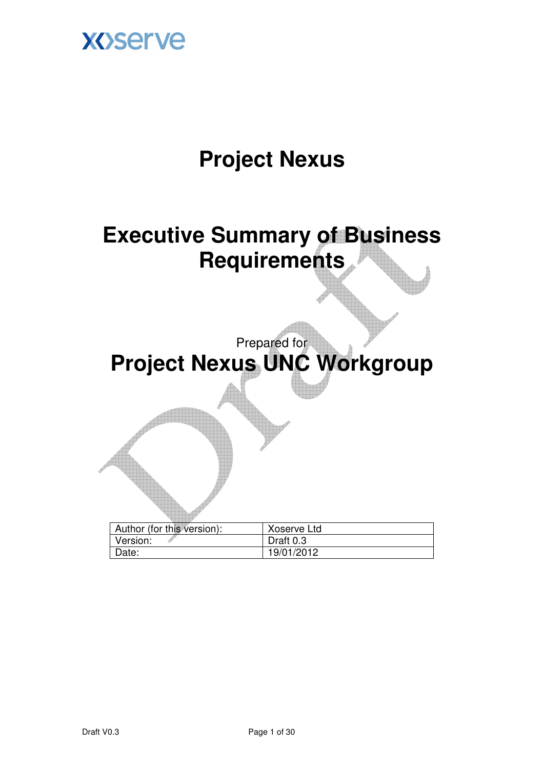

## **Project Nexus**

**Executive Summary of Business Requirements** 

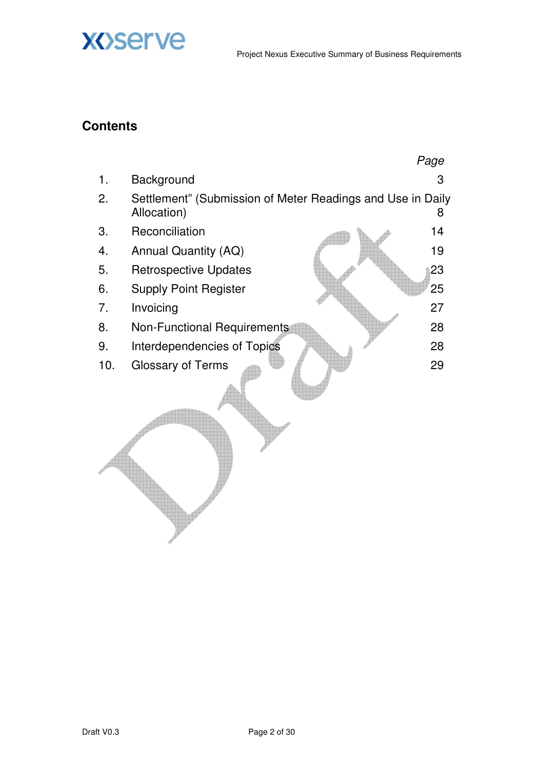

### **Contents**

**XOServe** 

|     |                                                                           | Page |
|-----|---------------------------------------------------------------------------|------|
| 1.  | Background                                                                | 3    |
| 2.  | Settlement" (Submission of Meter Readings and Use in Daily<br>Allocation) | 8    |
| 3.  | Reconciliation                                                            | 14   |
| 4.  | Annual Quantity (AQ)                                                      | 19   |
| 5.  | <b>Retrospective Updates</b>                                              | 23   |
| 6.  | <b>Supply Point Register</b>                                              | 25   |
| 7.  | Invoicing                                                                 | 27   |
| 8.  | <b>Non-Functional Requirements</b>                                        | 28   |
| 9.  | Interdependencies of Topics                                               | 28   |
| 10. | <b>Glossary of Terms</b>                                                  | 29   |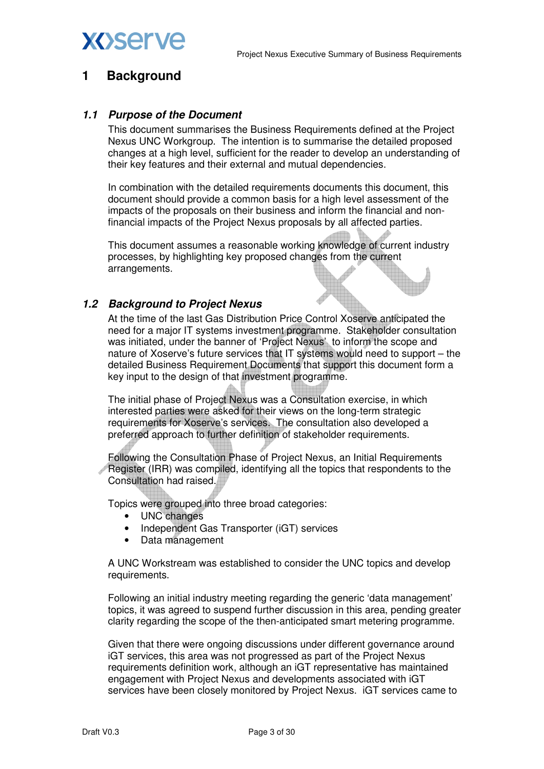

### **1 Background**

#### **1.1 Purpose of the Document**

This document summarises the Business Requirements defined at the Project Nexus UNC Workgroup. The intention is to summarise the detailed proposed changes at a high level, sufficient for the reader to develop an understanding of their key features and their external and mutual dependencies.

In combination with the detailed requirements documents this document, this document should provide a common basis for a high level assessment of the impacts of the proposals on their business and inform the financial and nonfinancial impacts of the Project Nexus proposals by all affected parties.

This document assumes a reasonable working knowledge of current industry processes, by highlighting key proposed changes from the current arrangements.

#### **1.2 Background to Project Nexus**

At the time of the last Gas Distribution Price Control Xoserve anticipated the need for a major IT systems investment programme. Stakeholder consultation was initiated, under the banner of 'Project Nexus' to inform the scope and nature of Xoserve's future services that IT systems would need to support – the detailed Business Requirement Documents that support this document form a key input to the design of that investment programme.

The initial phase of Project Nexus was a Consultation exercise, in which interested parties were asked for their views on the long-term strategic requirements for Xoserve's services. The consultation also developed a preferred approach to further definition of stakeholder requirements.

Following the Consultation Phase of Project Nexus, an Initial Requirements Register (IRR) was compiled, identifying all the topics that respondents to the Consultation had raised.

Topics were grouped into three broad categories:

- UNC changes
- Independent Gas Transporter (iGT) services
- Data management

A UNC Workstream was established to consider the UNC topics and develop requirements.

Following an initial industry meeting regarding the generic 'data management' topics, it was agreed to suspend further discussion in this area, pending greater clarity regarding the scope of the then-anticipated smart metering programme.

Given that there were ongoing discussions under different governance around iGT services, this area was not progressed as part of the Project Nexus requirements definition work, although an iGT representative has maintained engagement with Project Nexus and developments associated with iGT services have been closely monitored by Project Nexus. iGT services came to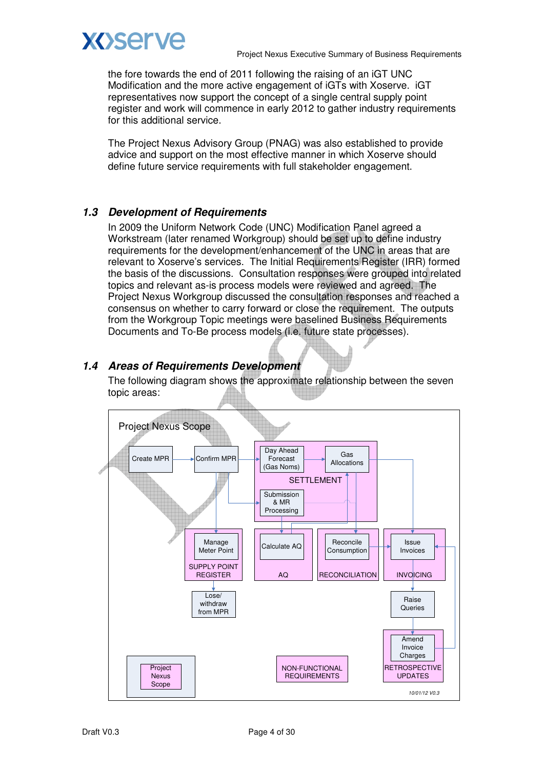

the fore towards the end of 2011 following the raising of an iGT UNC Modification and the more active engagement of iGTs with Xoserve. iGT representatives now support the concept of a single central supply point register and work will commence in early 2012 to gather industry requirements for this additional service.

The Project Nexus Advisory Group (PNAG) was also established to provide advice and support on the most effective manner in which Xoserve should define future service requirements with full stakeholder engagement.

### **1.3 Development of Requirements**

In 2009 the Uniform Network Code (UNC) Modification Panel agreed a Workstream (later renamed Workgroup) should be set up to define industry requirements for the development/enhancement of the UNC in areas that are relevant to Xoserve's services. The Initial Requirements Register (IRR) formed the basis of the discussions. Consultation responses were grouped into related topics and relevant as-is process models were reviewed and agreed. The Project Nexus Workgroup discussed the consultation responses and reached a consensus on whether to carry forward or close the requirement. The outputs from the Workgroup Topic meetings were baselined Business Requirements Documents and To-Be process models (i.e. future state processes).

### **1.4 Areas of Requirements Development**

The following diagram shows the approximate relationship between the seven topic areas:

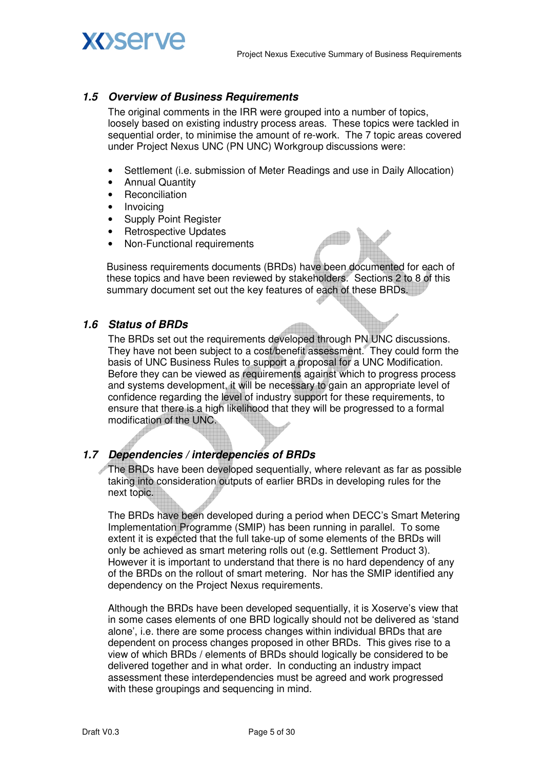# **XOServe**

### **1.5 Overview of Business Requirements**

The original comments in the IRR were grouped into a number of topics, loosely based on existing industry process areas. These topics were tackled in sequential order, to minimise the amount of re-work. The 7 topic areas covered under Project Nexus UNC (PN UNC) Workgroup discussions were:

- Settlement (i.e. submission of Meter Readings and use in Daily Allocation)
- Annual Quantity
- Reconciliation
- Invoicing
- Supply Point Register
- Retrospective Updates
- Non-Functional requirements

Business requirements documents (BRDs) have been documented for each of these topics and have been reviewed by stakeholders. Sections 2 to 8 of this summary document set out the key features of each of these BRDs.

### **1.6 Status of BRDs**

The BRDs set out the requirements developed through PN UNC discussions. They have not been subject to a cost/benefit assessment. They could form the basis of UNC Business Rules to support a proposal for a UNC Modification. Before they can be viewed as requirements against which to progress process and systems development, it will be necessary to gain an appropriate level of confidence regarding the level of industry support for these requirements, to ensure that there is a high likelihood that they will be progressed to a formal modification of the UNC.

### **1.7 Dependencies / interdepencies of BRDs**

The BRDs have been developed sequentially, where relevant as far as possible taking into consideration outputs of earlier BRDs in developing rules for the next topic.

The BRDs have been developed during a period when DECC's Smart Metering Implementation Programme (SMIP) has been running in parallel. To some extent it is expected that the full take-up of some elements of the BRDs will only be achieved as smart metering rolls out (e.g. Settlement Product 3). However it is important to understand that there is no hard dependency of any of the BRDs on the rollout of smart metering. Nor has the SMIP identified any dependency on the Project Nexus requirements.

Although the BRDs have been developed sequentially, it is Xoserve's view that in some cases elements of one BRD logically should not be delivered as 'stand alone', i.e. there are some process changes within individual BRDs that are dependent on process changes proposed in other BRDs. This gives rise to a view of which BRDs / elements of BRDs should logically be considered to be delivered together and in what order. In conducting an industry impact assessment these interdependencies must be agreed and work progressed with these groupings and sequencing in mind.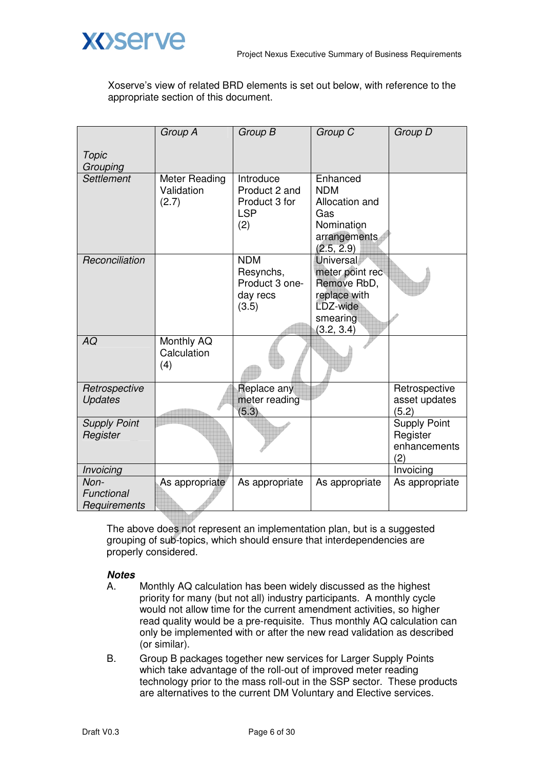



Xoserve's view of related BRD elements is set out below, with reference to the appropriate section of this document.

|                                    | Group A                              | Group B                                                          | Group C                                                                                                  | Group D                                                |
|------------------------------------|--------------------------------------|------------------------------------------------------------------|----------------------------------------------------------------------------------------------------------|--------------------------------------------------------|
| Topic<br>Grouping                  |                                      |                                                                  |                                                                                                          |                                                        |
| Settlement                         | Meter Reading<br>Validation<br>(2.7) | Introduce<br>Product 2 and<br>Product 3 for<br><b>LSP</b><br>(2) | Enhanced<br><b>NDM</b><br>Allocation and<br>Gas<br>Nomination<br>arrangements<br>(2.5, 2.9)              |                                                        |
| Reconciliation                     |                                      | <b>NDM</b><br>Resynchs,<br>Product 3 one-<br>day recs<br>(3.5)   | <b>Universal</b><br>meter point rec<br>Remove RbD,<br>replace with<br>LDZ-wide<br>smearing<br>(3.2, 3.4) |                                                        |
| AQ                                 | Monthly AQ<br>Calculation<br>(4)     |                                                                  |                                                                                                          |                                                        |
| Retrospective<br><b>Updates</b>    |                                      | Replace any<br>meter reading<br>(5.3)                            |                                                                                                          | Retrospective<br>asset updates<br>(5.2)                |
| <b>Supply Point</b><br>Register    |                                      |                                                                  |                                                                                                          | <b>Supply Point</b><br>Register<br>enhancements<br>(2) |
| Invoicing                          |                                      |                                                                  |                                                                                                          | Invoicing                                              |
| Non-<br>Functional<br>Requirements | As appropriate                       | As appropriate                                                   | As appropriate                                                                                           | As appropriate                                         |
|                                    |                                      |                                                                  |                                                                                                          |                                                        |

The above does not represent an implementation plan, but is a suggested grouping of sub-topics, which should ensure that interdependencies are properly considered.

### **Notes**

- A. Monthly AQ calculation has been widely discussed as the highest priority for many (but not all) industry participants. A monthly cycle would not allow time for the current amendment activities, so higher read quality would be a pre-requisite. Thus monthly AQ calculation can only be implemented with or after the new read validation as described (or similar).
- B. Group B packages together new services for Larger Supply Points which take advantage of the roll-out of improved meter reading technology prior to the mass roll-out in the SSP sector. These products are alternatives to the current DM Voluntary and Elective services.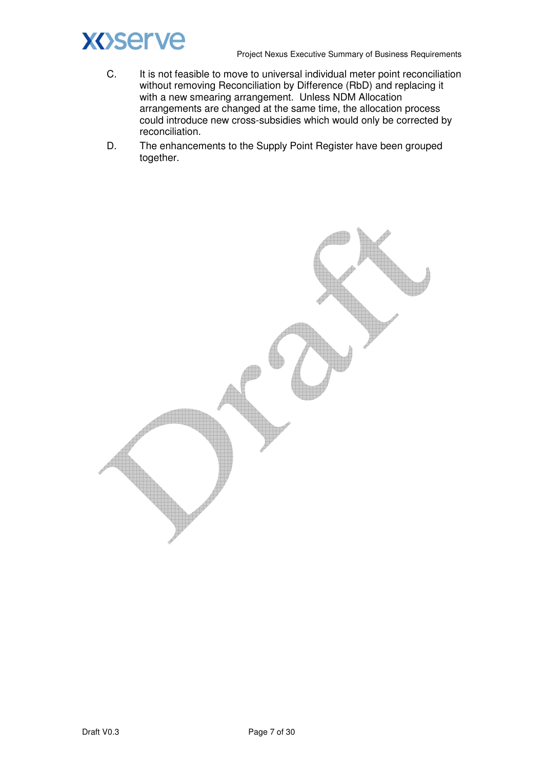

- C. It is not feasible to move to universal individual meter point reconciliation without removing Reconciliation by Difference (RbD) and replacing it with a new smearing arrangement. Unless NDM Allocation arrangements are changed at the same time, the allocation process could introduce new cross-subsidies which would only be corrected by reconciliation.
- D. The enhancements to the Supply Point Register have been grouped together.

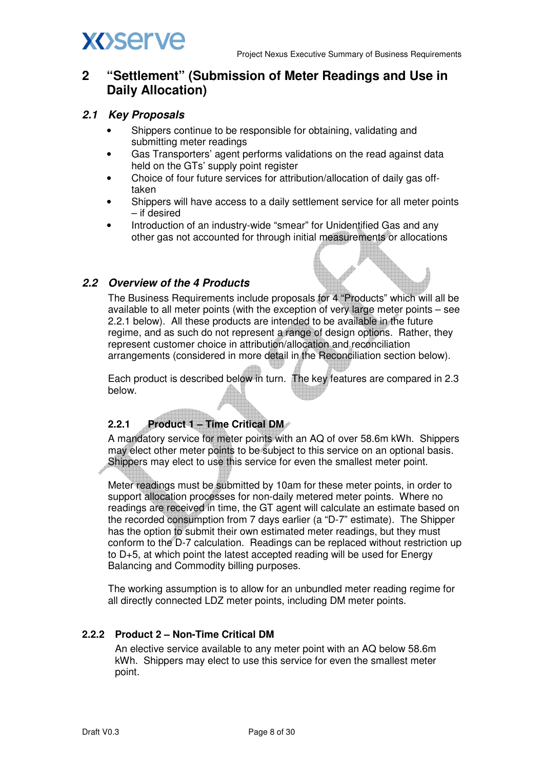

### **2 "Settlement" (Submission of Meter Readings and Use in Daily Allocation)**

### **2.1 Key Proposals**

- Shippers continue to be responsible for obtaining, validating and submitting meter readings
- Gas Transporters' agent performs validations on the read against data held on the GTs' supply point register
- Choice of four future services for attribution/allocation of daily gas offtaken
- Shippers will have access to a daily settlement service for all meter points – if desired
- Introduction of an industry-wide "smear" for Unidentified Gas and any other gas not accounted for through initial measurements or allocations

### **2.2 Overview of the 4 Products**

The Business Requirements include proposals for 4 "Products" which will all be available to all meter points (with the exception of very large meter points – see 2.2.1 below). All these products are intended to be available in the future regime, and as such do not represent a range of design options. Rather, they represent customer choice in attribution/allocation and reconciliation arrangements (considered in more detail in the Reconciliation section below).

Each product is described below in turn. The key features are compared in 2.3 below.

### **2.2.1** Product 1 – Time Critical DM

A mandatory service for meter points with an AQ of over 58.6m kWh. Shippers may elect other meter points to be subject to this service on an optional basis. Shippers may elect to use this service for even the smallest meter point.

Meter readings must be submitted by 10am for these meter points, in order to support allocation processes for non-daily metered meter points. Where no readings are received in time, the GT agent will calculate an estimate based on the recorded consumption from 7 days earlier (a "D-7" estimate). The Shipper has the option to submit their own estimated meter readings, but they must conform to the D-7 calculation. Readings can be replaced without restriction up to D+5, at which point the latest accepted reading will be used for Energy Balancing and Commodity billing purposes.

The working assumption is to allow for an unbundled meter reading regime for all directly connected LDZ meter points, including DM meter points.

### **2.2.2 Product 2 – Non-Time Critical DM**

An elective service available to any meter point with an AQ below 58.6m kWh. Shippers may elect to use this service for even the smallest meter point.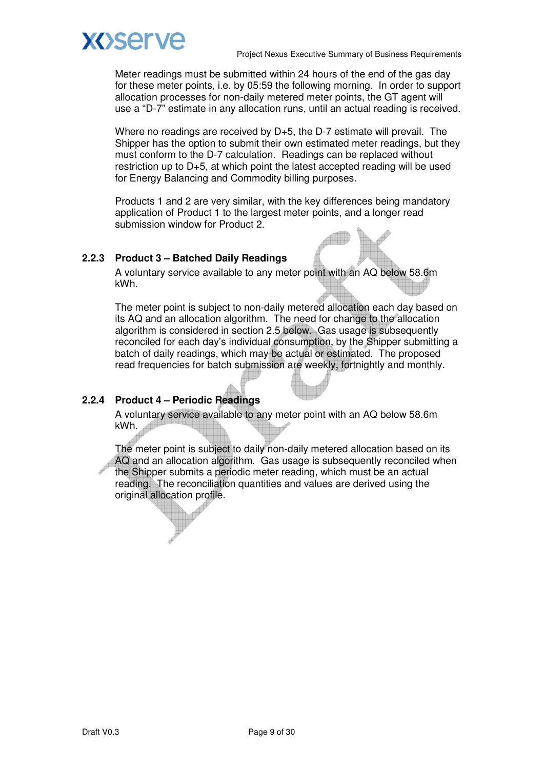

Meter readings must be submitted within 24 hours of the end of the gas day for these meter points, i.e. by 05:59 the following morning. In order to support allocation processes for non-daily metered meter points, the GT agent will use a "D-7" estimate in any allocation runs, until an actual reading is received.

Where no readings are received by D+5, the D-7 estimate will prevail. The Shipper has the option to submit their own estimated meter readings, but they must conform to the D-7 calculation. Readings can be replaced without restriction up to D+5, at which point the latest accepted reading will be used for Energy Balancing and Commodity billing purposes.

Products 1 and 2 are very similar, with the key differences being mandatory application of Product 1 to the largest meter points, and a longer read submission window for Product 2.

### **2.2.3 Product 3 – Batched Daily Readings**

A voluntary service available to any meter point with an AQ below 58.6m kWh.

The meter point is subject to non-daily metered allocation each day based on its AQ and an allocation algorithm. The need for change to the allocation algorithm is considered in section 2.5 below. Gas usage is subsequently reconciled for each day's individual consumption, by the Shipper submitting a batch of daily readings, which may be actual or estimated. The proposed read frequencies for batch submission are weekly, fortnightly and monthly.

### **2.2.4 Product 4 – Periodic Readings**

A voluntary service available to any meter point with an AQ below 58.6m kWh.

The meter point is subject to daily non-daily metered allocation based on its AQ and an allocation algorithm. Gas usage is subsequently reconciled when the Shipper submits a periodic meter reading, which must be an actual reading. The reconciliation quantities and values are derived using the original allocation profile.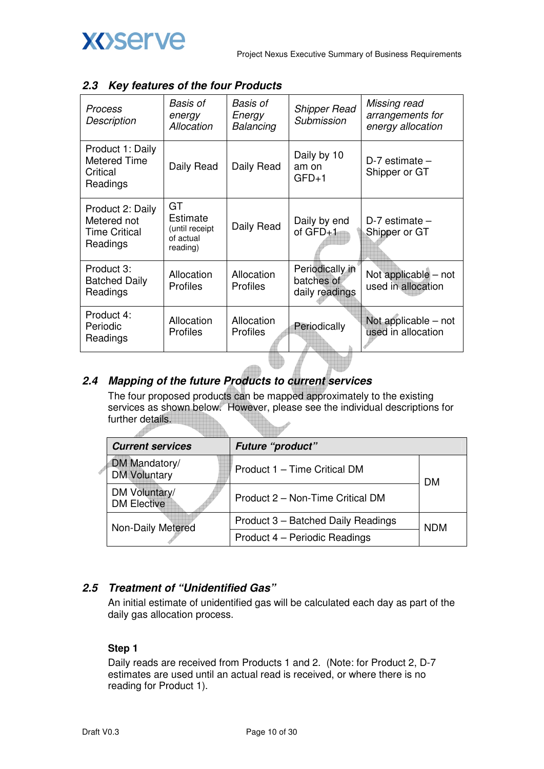

| <b>Process</b><br>Description                                       | Basis of<br>energy<br>Allocation                          | <b>Basis of</b><br>Energy<br>Balancing | <b>Shipper Read</b><br>Submission               | Missing read<br>arrangements for<br>energy allocation |
|---------------------------------------------------------------------|-----------------------------------------------------------|----------------------------------------|-------------------------------------------------|-------------------------------------------------------|
| Product 1: Daily<br>Metered Time<br>Critical<br>Readings            | Daily Read                                                | Daily Read                             | Daily by 10<br>am on<br>$GFD+1$                 | $D-7$ estimate $-$<br>Shipper or GT                   |
| Product 2: Daily<br>Metered not<br><b>Time Critical</b><br>Readings | GT<br>Estimate<br>(until receipt<br>of actual<br>reading) | Daily Read                             | Daily by end<br>of $GFD+1$                      | $D-7$ estimate $-$<br>Shipper or GT                   |
| Product 3:<br><b>Batched Daily</b><br>Readings                      | Allocation<br><b>Profiles</b>                             | Allocation<br><b>Profiles</b>          | Periodically in<br>batches of<br>daily readings | Not applicable – not<br>used in allocation            |
| Product 4:<br>Periodic<br>Readings                                  | Allocation<br><b>Profiles</b>                             | Allocation<br><b>Profiles</b>          | Periodically                                    | Not applicable – not<br>used in allocation            |

### **2.3 Key features of the four Products**

### **2.4 Mapping of the future Products to current services**

The four proposed products can be mapped approximately to the existing services as shown below. However, please see the individual descriptions for further details.

| <b>Current services</b>              | <b>Future "product"</b>            |            |
|--------------------------------------|------------------------------------|------------|
| DM Mandatory/<br><b>DM Voluntary</b> | Product 1 - Time Critical DM       | DМ         |
| DM Voluntary/<br><b>DM Elective</b>  | Product 2 – Non-Time Critical DM   |            |
| Non-Daily Metered                    | Product 3 - Batched Daily Readings | <b>NDM</b> |
|                                      | Product 4 - Periodic Readings      |            |

### **2.5 Treatment of "Unidentified Gas"**

An initial estimate of unidentified gas will be calculated each day as part of the daily gas allocation process.

#### **Step 1**

Daily reads are received from Products 1 and 2. (Note: for Product 2, D-7 estimates are used until an actual read is received, or where there is no reading for Product 1).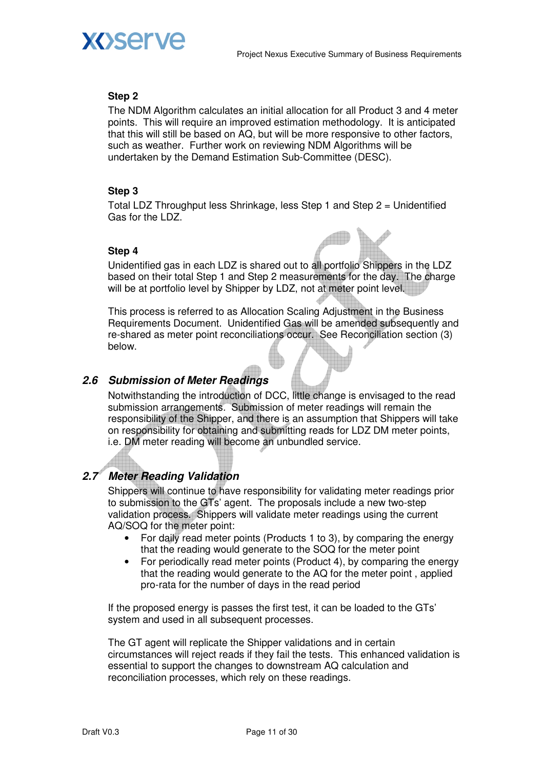

### **Step 2**

The NDM Algorithm calculates an initial allocation for all Product 3 and 4 meter points. This will require an improved estimation methodology. It is anticipated that this will still be based on AQ, but will be more responsive to other factors, such as weather. Further work on reviewing NDM Algorithms will be undertaken by the Demand Estimation Sub-Committee (DESC).

### **Step 3**

Total LDZ Throughput less Shrinkage, less Step 1 and Step 2 = Unidentified Gas for the LDZ.

#### **Step 4**



Unidentified gas in each LDZ is shared out to all portfolio Shippers in the LDZ based on their total Step 1 and Step 2 measurements for the day. The charge will be at portfolio level by Shipper by LDZ, not at meter point level.

This process is referred to as Allocation Scaling Adjustment in the Business Requirements Document. Unidentified Gas will be amended subsequently and re-shared as meter point reconciliations occur. See Reconciliation section (3) below.

### **2.6 Submission of Meter Readings**

Notwithstanding the introduction of DCC, little change is envisaged to the read submission arrangements. Submission of meter readings will remain the responsibility of the Shipper, and there is an assumption that Shippers will take on responsibility for obtaining and submitting reads for LDZ DM meter points, i.e. DM meter reading will become an unbundled service.

### **2.7 Meter Reading Validation**

Shippers will continue to have responsibility for validating meter readings prior to submission to the GTs' agent. The proposals include a new two-step validation process. Shippers will validate meter readings using the current AQ/SOQ for the meter point:

- For daily read meter points (Products 1 to 3), by comparing the energy that the reading would generate to the SOQ for the meter point
- For periodically read meter points (Product 4), by comparing the energy that the reading would generate to the AQ for the meter point , applied pro-rata for the number of days in the read period

If the proposed energy is passes the first test, it can be loaded to the GTs' system and used in all subsequent processes.

The GT agent will replicate the Shipper validations and in certain circumstances will reject reads if they fail the tests. This enhanced validation is essential to support the changes to downstream AQ calculation and reconciliation processes, which rely on these readings.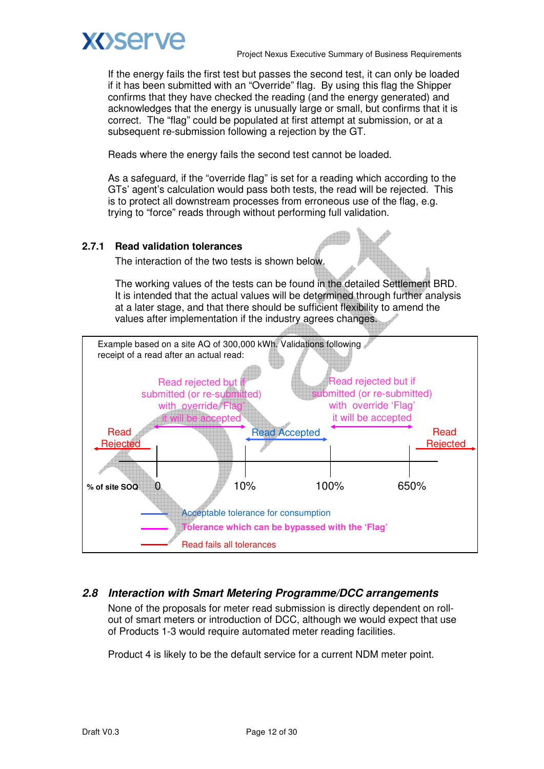

If the energy fails the first test but passes the second test, it can only be loaded if it has been submitted with an "Override" flag. By using this flag the Shipper confirms that they have checked the reading (and the energy generated) and acknowledges that the energy is unusually large or small, but confirms that it is correct. The "flag" could be populated at first attempt at submission, or at a subsequent re-submission following a rejection by the GT.

Reads where the energy fails the second test cannot be loaded.

As a safeguard, if the "override flag" is set for a reading which according to the GTs' agent's calculation would pass both tests, the read will be rejected. This is to protect all downstream processes from erroneous use of the flag, e.g. trying to "force" reads through without performing full validation.

### **2.7.1 Read validation tolerances**

The interaction of the two tests is shown below.

The working values of the tests can be found in the detailed Settlement BRD. It is intended that the actual values will be determined through further analysis at a later stage, and that there should be sufficient flexibility to amend the values after implementation if the industry agrees changes.



### **2.8 Interaction with Smart Metering Programme/DCC arrangements**

None of the proposals for meter read submission is directly dependent on rollout of smart meters or introduction of DCC, although we would expect that use of Products 1-3 would require automated meter reading facilities.

Product 4 is likely to be the default service for a current NDM meter point.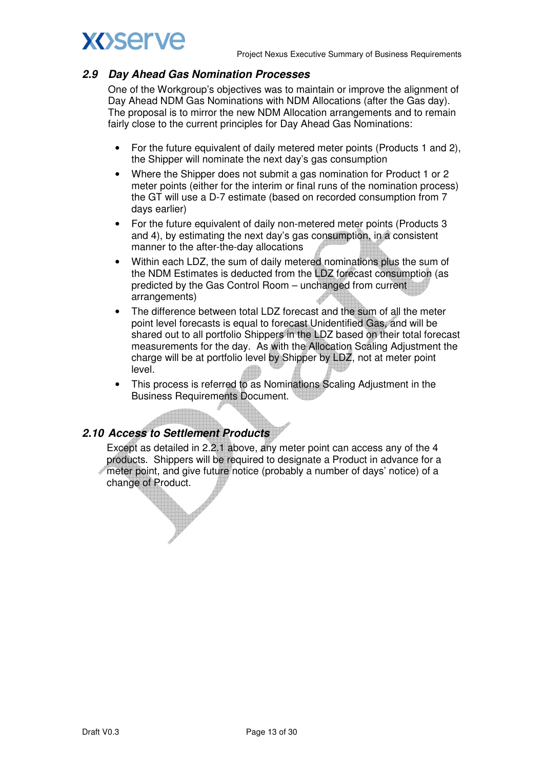### **2.9 Day Ahead Gas Nomination Processes**

One of the Workgroup's objectives was to maintain or improve the alignment of Day Ahead NDM Gas Nominations with NDM Allocations (after the Gas day). The proposal is to mirror the new NDM Allocation arrangements and to remain fairly close to the current principles for Day Ahead Gas Nominations:

- For the future equivalent of daily metered meter points (Products 1 and 2), the Shipper will nominate the next day's gas consumption
- Where the Shipper does not submit a gas nomination for Product 1 or 2 meter points (either for the interim or final runs of the nomination process) the GT will use a D-7 estimate (based on recorded consumption from 7 days earlier)
- For the future equivalent of daily non-metered meter points (Products 3 and 4), by estimating the next day's gas consumption, in a consistent manner to the after-the-day allocations
- Within each LDZ, the sum of daily metered nominations plus the sum of the NDM Estimates is deducted from the LDZ forecast consumption (as predicted by the Gas Control Room – unchanged from current arrangements)
- The difference between total LDZ forecast and the sum of all the meter point level forecasts is equal to forecast Unidentified Gas, and will be shared out to all portfolio Shippers in the LDZ based on their total forecast measurements for the day. As with the Allocation Scaling Adjustment the charge will be at portfolio level by Shipper by LDZ, not at meter point level.
- This process is referred to as Nominations Scaling Adjustment in the Business Requirements Document.

### **2.10 Access to Settlement Products**

Except as detailed in 2.2.1 above, any meter point can access any of the 4 products. Shippers will be required to designate a Product in advance for a meter point, and give future notice (probably a number of days' notice) of a change of Product.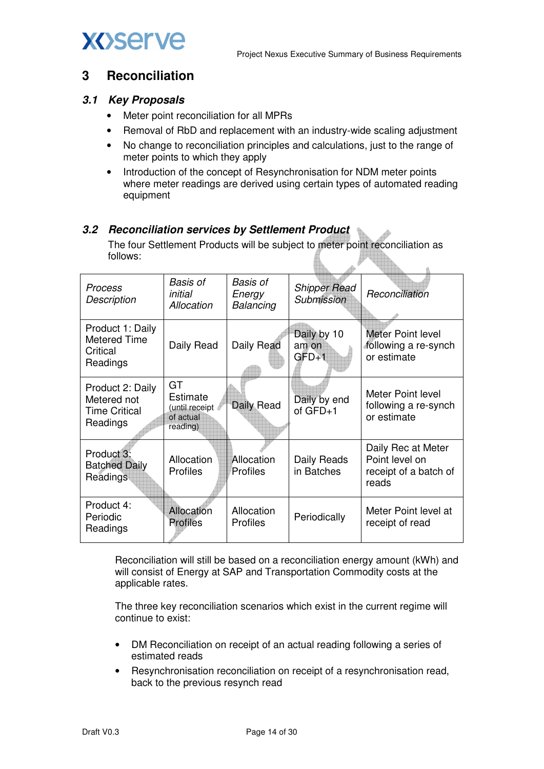



### **3 Reconciliation**

### **3.1 Key Proposals**

- Meter point reconciliation for all MPRs
- Removal of RbD and replacement with an industry-wide scaling adjustment
- No change to reconciliation principles and calculations, just to the range of meter points to which they apply
- Introduction of the concept of Resynchronisation for NDM meter points where meter readings are derived using certain types of automated reading equipment

### **3.2 Reconciliation services by Settlement Product**

The four Settlement Products will be subject to meter point reconciliation as follows:  $\lambda$ 

| Process<br>Description                                              | Basis of<br>initial<br>Allocation                         | Basis of<br>Energy<br>Balancing | <b>Shipper Read</b><br>Submission | Reconciliation                                                         |
|---------------------------------------------------------------------|-----------------------------------------------------------|---------------------------------|-----------------------------------|------------------------------------------------------------------------|
| Product 1: Daily<br>Metered Time<br>Critical<br>Readings            | Daily Read                                                | Daily Read                      | Daily by 10<br>am on<br>$GFD+1$   | Meter Point level<br>following a re-synch<br>or estimate               |
| Product 2: Daily<br>Metered not<br><b>Time Critical</b><br>Readings | GT<br>Estimate<br>(until receipt<br>of actual<br>reading) | Daily Read                      | Daily by end<br>of $GFD+1$        | Meter Point level<br>following a re-synch<br>or estimate               |
| Product 3:<br><b>Batched Daily</b><br>Readings                      | Allocation<br><b>Profiles</b>                             | Allocation<br>Profiles          | Daily Reads<br>in Batches         | Daily Rec at Meter<br>Point level on<br>receipt of a batch of<br>reads |
| Product 4:<br>Periodic<br>Readings                                  | Allocation<br><b>Profiles</b>                             | Allocation<br><b>Profiles</b>   | Periodically                      | Meter Point level at<br>receipt of read                                |

Reconciliation will still be based on a reconciliation energy amount (kWh) and will consist of Energy at SAP and Transportation Commodity costs at the applicable rates.

The three key reconciliation scenarios which exist in the current regime will continue to exist:

- DM Reconciliation on receipt of an actual reading following a series of estimated reads
- Resynchronisation reconciliation on receipt of a resynchronisation read, back to the previous resynch read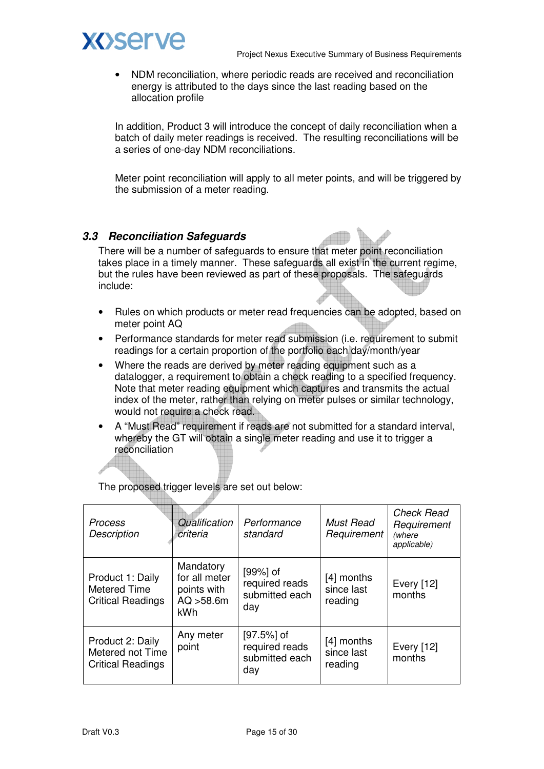



• NDM reconciliation, where periodic reads are received and reconciliation energy is attributed to the days since the last reading based on the allocation profile

In addition, Product 3 will introduce the concept of daily reconciliation when a batch of daily meter readings is received. The resulting reconciliations will be a series of one-day NDM reconciliations.

Meter point reconciliation will apply to all meter points, and will be triggered by the submission of a meter reading.

### **3.3 Reconciliation Safeguards**

There will be a number of safeguards to ensure that meter point reconciliation takes place in a timely manner. These safeguards all exist in the current regime, but the rules have been reviewed as part of these proposals. The safeguards include:

- Rules on which products or meter read frequencies can be adopted, based on meter point AQ
- Performance standards for meter read submission (i.e. requirement to submit readings for a certain proportion of the portfolio each day/month/year
- Where the reads are derived by meter reading equipment such as a datalogger, a requirement to obtain a check reading to a specified frequency. Note that meter reading equipment which captures and transmits the actual index of the meter, rather than relying on meter pulses or similar technology, would not require a check read.
- A "Must Read" requirement if reads are not submitted for a standard interval, whereby the GT will obtain a single meter reading and use it to trigger a reconciliation

| <b>Process</b><br><b>Description</b>                             | Qualification<br>criteria                                             | Performance<br>standard                                  | <b>Must Read</b><br>Requirement     | <b>Check Read</b><br>Requirement<br>(where<br>applicable) |
|------------------------------------------------------------------|-----------------------------------------------------------------------|----------------------------------------------------------|-------------------------------------|-----------------------------------------------------------|
| Product 1: Daily<br>Metered Time<br><b>Critical Readings</b>     | Mandatory<br>for all meter<br>points with<br>AQ > 58.6m<br><b>kWh</b> | $[99%]$ of<br>required reads<br>submitted each<br>day    | [4] months<br>since last<br>reading | Every [12]<br>months                                      |
| Product 2: Daily<br>Metered not Time<br><b>Critical Readings</b> | Any meter<br>point                                                    | $[97.5\%]$ of<br>required reads<br>submitted each<br>day | [4] months<br>since last<br>reading | Every [12]<br>months                                      |

The proposed trigger levels are set out below:

EL.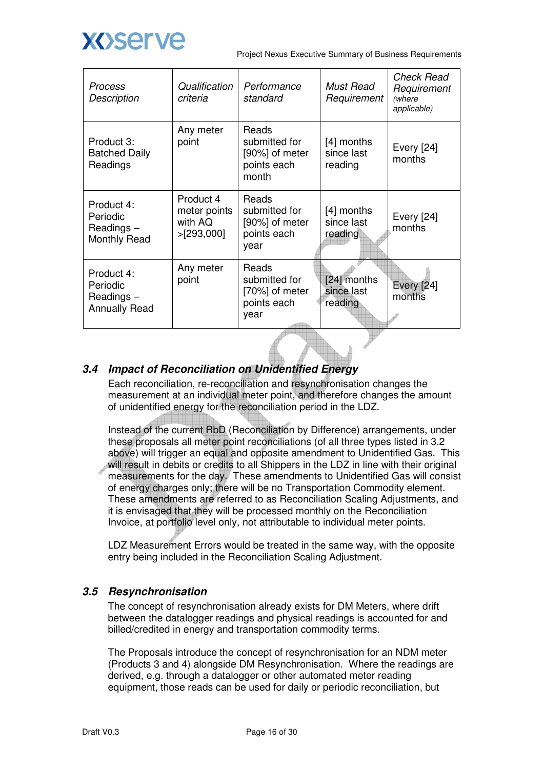

| Process<br><b>Description</b>                               | Qualification<br>criteria                          | Performance<br>standard                                          | <b>Must Read</b><br>Requirement       | Check Read<br>Requirement<br>(where<br>applicable) |
|-------------------------------------------------------------|----------------------------------------------------|------------------------------------------------------------------|---------------------------------------|----------------------------------------------------|
| Product 3:<br><b>Batched Daily</b><br>Readings              | Any meter<br>point                                 | Reads<br>submitted for<br>[90%] of meter<br>points each<br>month | $[4]$ months<br>since last<br>reading | <b>Every</b> [24]<br>months                        |
| Product 4:<br>Periodic<br>Readings-<br><b>Monthly Read</b>  | Product 4<br>meter points<br>with AQ<br>>[293,000] | Reads<br>submitted for<br>[90%] of meter<br>points each<br>year  | [4] months<br>since last<br>reading   | <b>Every</b> [24]<br>months                        |
| Product 4:<br>Periodic<br>Readings-<br><b>Annually Read</b> | Any meter<br>point                                 | Reads<br>submitted for<br>[70%] of meter<br>points each<br>year  | [24] months<br>since last<br>reading  | <b>Every</b> [24]<br>months                        |

### **3.4 Impact of Reconciliation on Unidentified Energy**

Each reconciliation, re-reconciliation and resynchronisation changes the measurement at an individual meter point, and therefore changes the amount of unidentified energy for the reconciliation period in the LDZ.

Instead of the current RbD (Reconciliation by Difference) arrangements, under these proposals all meter point reconciliations (of all three types listed in 3.2 above) will trigger an equal and opposite amendment to Unidentified Gas. This will result in debits or credits to all Shippers in the LDZ in line with their original measurements for the day. These amendments to Unidentified Gas will consist of energy charges only; there will be no Transportation Commodity element. These amendments are referred to as Reconciliation Scaling Adjustments, and it is envisaged that they will be processed monthly on the Reconciliation Invoice, at portfolio level only, not attributable to individual meter points.

LDZ Measurement Errors would be treated in the same way, with the opposite entry being included in the Reconciliation Scaling Adjustment.

### **3.5 Resynchronisation**

The concept of resynchronisation already exists for DM Meters, where drift between the datalogger readings and physical readings is accounted for and billed/credited in energy and transportation commodity terms.

The Proposals introduce the concept of resynchronisation for an NDM meter (Products 3 and 4) alongside DM Resynchronisation. Where the readings are derived, e.g. through a datalogger or other automated meter reading equipment, those reads can be used for daily or periodic reconciliation, but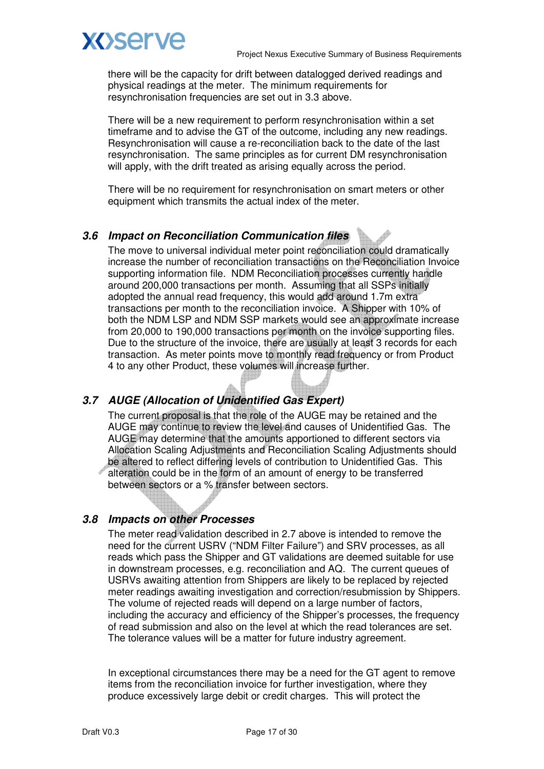

there will be the capacity for drift between datalogged derived readings and physical readings at the meter. The minimum requirements for resynchronisation frequencies are set out in 3.3 above.

There will be a new requirement to perform resynchronisation within a set timeframe and to advise the GT of the outcome, including any new readings. Resynchronisation will cause a re-reconciliation back to the date of the last resynchronisation. The same principles as for current DM resynchronisation will apply, with the drift treated as arising equally across the period.

There will be no requirement for resynchronisation on smart meters or other equipment which transmits the actual index of the meter.

### **3.6 Impact on Reconciliation Communication files**

The move to universal individual meter point reconciliation could dramatically increase the number of reconciliation transactions on the Reconciliation Invoice supporting information file. NDM Reconciliation processes currently handle around 200,000 transactions per month. Assuming that all SSPs initially adopted the annual read frequency, this would add around 1.7m extra transactions per month to the reconciliation invoice. A Shipper with 10% of both the NDM LSP and NDM SSP markets would see an approximate increase from 20,000 to 190,000 transactions per month on the invoice supporting files. Due to the structure of the invoice, there are usually at least 3 records for each transaction. As meter points move to monthly read frequency or from Product 4 to any other Product, these volumes will increase further.

### **3.7 AUGE (Allocation of Unidentified Gas Expert)**

The current proposal is that the role of the AUGE may be retained and the AUGE may continue to review the level and causes of Unidentified Gas. The AUGE may determine that the amounts apportioned to different sectors via Allocation Scaling Adjustments and Reconciliation Scaling Adjustments should be altered to reflect differing levels of contribution to Unidentified Gas. This alteration could be in the form of an amount of energy to be transferred between sectors or a % transfer between sectors.

#### **3.8 Impacts on other Processes**

The meter read validation described in 2.7 above is intended to remove the need for the current USRV ("NDM Filter Failure") and SRV processes, as all reads which pass the Shipper and GT validations are deemed suitable for use in downstream processes, e.g. reconciliation and AQ. The current queues of USRVs awaiting attention from Shippers are likely to be replaced by rejected meter readings awaiting investigation and correction/resubmission by Shippers. The volume of rejected reads will depend on a large number of factors, including the accuracy and efficiency of the Shipper's processes, the frequency of read submission and also on the level at which the read tolerances are set. The tolerance values will be a matter for future industry agreement.

In exceptional circumstances there may be a need for the GT agent to remove items from the reconciliation invoice for further investigation, where they produce excessively large debit or credit charges. This will protect the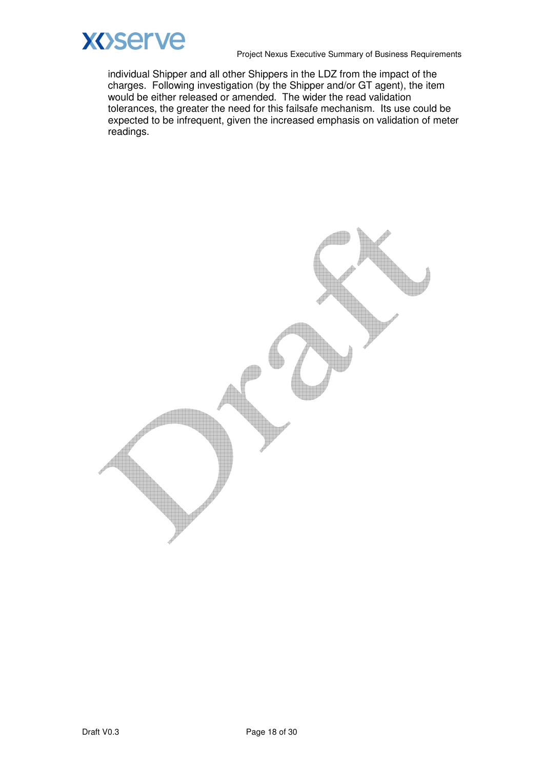

individual Shipper and all other Shippers in the LDZ from the impact of the charges. Following investigation (by the Shipper and/or GT agent), the item would be either released or amended. The wider the read validation tolerances, the greater the need for this failsafe mechanism. Its use could be expected to be infrequent, given the increased emphasis on validation of meter readings.

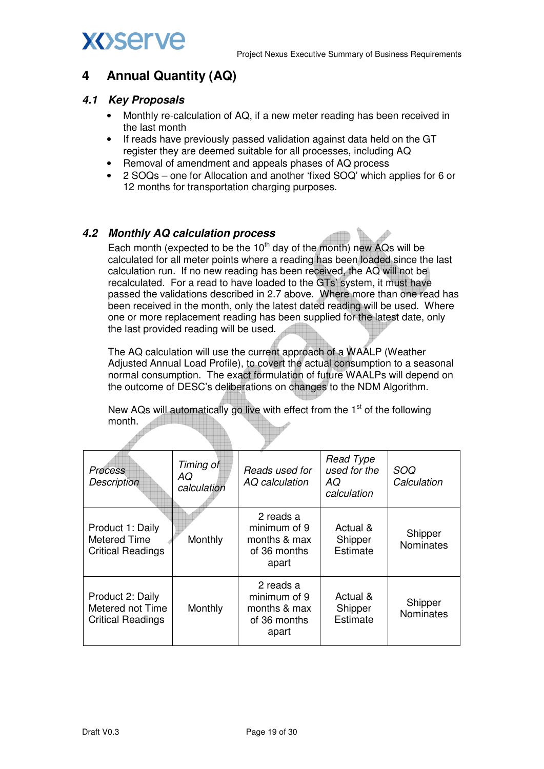## **4 Annual Quantity (AQ)**

### **4.1 Key Proposals**

- Monthly re-calculation of AQ, if a new meter reading has been received in the last month
- If reads have previously passed validation against data held on the GT register they are deemed suitable for all processes, including AQ
- Removal of amendment and appeals phases of AQ process
- 2 SOQs one for Allocation and another 'fixed SOQ' which applies for 6 or 12 months for transportation charging purposes.

### **4.2 Monthly AQ calculation process**

Each month (expected to be the  $10<sup>th</sup>$  day of the month) new AQs will be calculated for all meter points where a reading has been loaded since the last calculation run. If no new reading has been received, the AQ will not be recalculated. For a read to have loaded to the GTs' system, it must have passed the validations described in 2.7 above. Where more than one read has been received in the month, only the latest dated reading will be used. Where one or more replacement reading has been supplied for the latest date, only the last provided reading will be used.

The AQ calculation will use the current approach of a WAALP (Weather Adjusted Annual Load Profile), to covert the actual consumption to a seasonal normal consumption. The exact formulation of future WAALPs will depend on the outcome of DESC's deliberations on changes to the NDM Algorithm.

New AQs will automatically go live with effect from the 1<sup>st</sup> of the following month.

| <b>Process</b><br><b>Description</b>                             | Timing of<br>AQ<br>calculation | Reads used for<br>AQ calculation                                   | <b>Read Type</b><br>used for the<br>AQ<br>calculation | SOQ<br>Calculation          |
|------------------------------------------------------------------|--------------------------------|--------------------------------------------------------------------|-------------------------------------------------------|-----------------------------|
| Product 1: Daily<br>Metered Time<br><b>Critical Readings</b>     | Monthly                        | 2 reads a<br>minimum of 9<br>months & max<br>of 36 months<br>apart | Actual &<br>Shipper<br>Estimate                       | Shipper<br><b>Nominates</b> |
| Product 2: Daily<br>Metered not Time<br><b>Critical Readings</b> | Monthly                        | 2 reads a<br>minimum of 9<br>months & max<br>of 36 months<br>apart | Actual &<br>Shipper<br>Estimate                       | Shipper<br>Nominates        |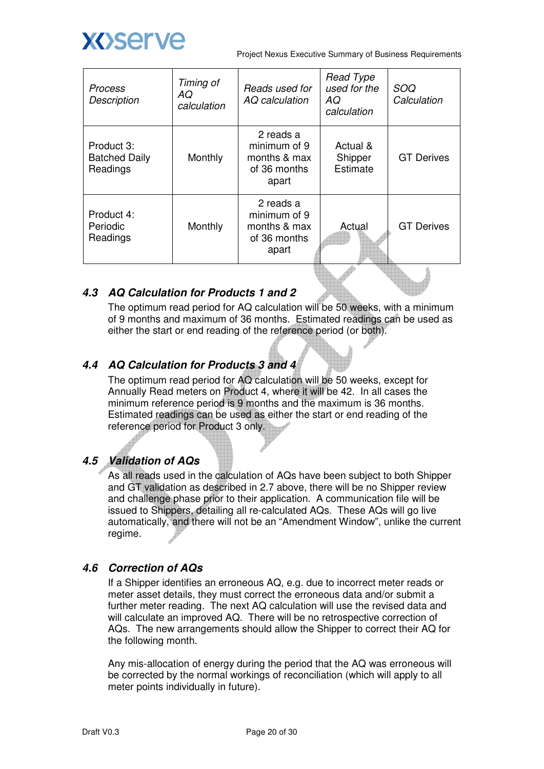

| Process<br><b>Description</b>                  | Timing of<br>AQ<br>calculation | Reads used for<br>AQ calculation                                   | <b>Read Type</b><br>used for the<br>AQ.<br>calculation | SOQ<br>Calculation |
|------------------------------------------------|--------------------------------|--------------------------------------------------------------------|--------------------------------------------------------|--------------------|
| Product 3:<br><b>Batched Daily</b><br>Readings | Monthly                        | 2 reads a<br>minimum of 9<br>months & max<br>of 36 months<br>apart | Actual &<br>Shipper<br>Estimate                        | <b>GT Derives</b>  |
| Product 4:<br>Periodic<br>Readings             | Monthly                        | 2 reads a<br>minimum of 9<br>months & max<br>of 36 months<br>apart | Actual                                                 | <b>GT Derives</b>  |

### **4.3 AQ Calculation for Products 1 and 2**

The optimum read period for AQ calculation will be 50 weeks, with a minimum of 9 months and maximum of 36 months. Estimated readings can be used as either the start or end reading of the reference period (or both).

### **4.4 AQ Calculation for Products 3 and 4**

The optimum read period for AQ calculation will be 50 weeks, except for Annually Read meters on Product 4, where it will be 42. In all cases the minimum reference period is 9 months and the maximum is 36 months. Estimated readings can be used as either the start or end reading of the reference period for Product 3 only.

### **4.5 Validation of AQs**

As all reads used in the calculation of AQs have been subject to both Shipper and GT validation as described in 2.7 above, there will be no Shipper review and challenge phase prior to their application. A communication file will be issued to Shippers, detailing all re-calculated AQs. These AQs will go live automatically, and there will not be an "Amendment Window", unlike the current regime.

### **4.6 Correction of AQs**

If a Shipper identifies an erroneous AQ, e.g. due to incorrect meter reads or meter asset details, they must correct the erroneous data and/or submit a further meter reading. The next AQ calculation will use the revised data and will calculate an improved AQ. There will be no retrospective correction of AQs. The new arrangements should allow the Shipper to correct their AQ for the following month.

Any mis-allocation of energy during the period that the AQ was erroneous will be corrected by the normal workings of reconciliation (which will apply to all meter points individually in future).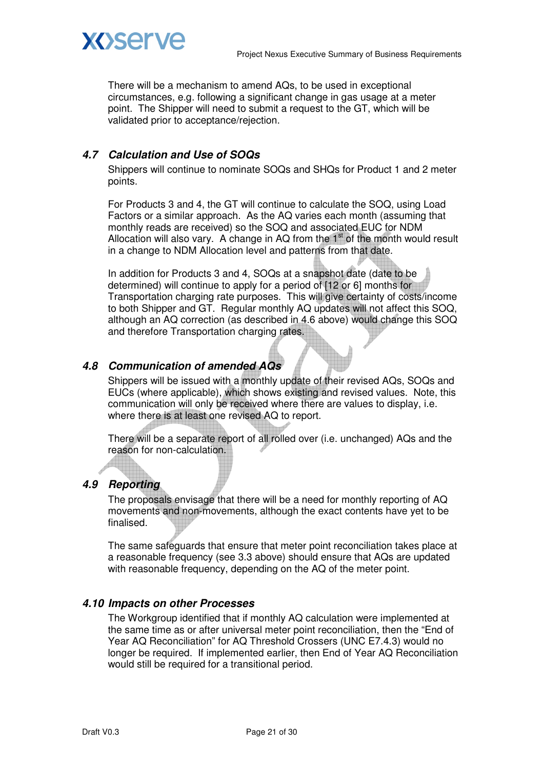



There will be a mechanism to amend AQs, to be used in exceptional circumstances, e.g. following a significant change in gas usage at a meter point. The Shipper will need to submit a request to the GT, which will be validated prior to acceptance/rejection.

### **4.7 Calculation and Use of SOQs**

Shippers will continue to nominate SOQs and SHQs for Product 1 and 2 meter points.

For Products 3 and 4, the GT will continue to calculate the SOQ, using Load Factors or a similar approach. As the AQ varies each month (assuming that monthly reads are received) so the SOQ and associated EUC for NDM Allocation will also vary. A change in AQ from the  $1<sup>st</sup>$  of the month would result in a change to NDM Allocation level and patterns from that date.

In addition for Products 3 and 4, SOQs at a snapshot date (date to be determined) will continue to apply for a period of [12 or 6] months for Transportation charging rate purposes. This will give certainty of costs/income to both Shipper and GT. Regular monthly AQ updates will not affect this SOQ, although an AQ correction (as described in 4.6 above) would change this SOQ and therefore Transportation charging rates.

### **4.8 Communication of amended AQs**

Shippers will be issued with a monthly update of their revised AQs, SOQs and EUCs (where applicable), which shows existing and revised values. Note, this communication will only be received where there are values to display, i.e. where there is at least one revised AQ to report.

There will be a separate report of all rolled over (i.e. unchanged) AQs and the reason for non-calculation.

### **4.9 Reporting**

The proposals envisage that there will be a need for monthly reporting of AQ movements and non-movements, although the exact contents have yet to be finalised.

The same safeguards that ensure that meter point reconciliation takes place at a reasonable frequency (see 3.3 above) should ensure that AQs are updated with reasonable frequency, depending on the AQ of the meter point.

#### **4.10 Impacts on other Processes**

The Workgroup identified that if monthly AQ calculation were implemented at the same time as or after universal meter point reconciliation, then the "End of Year AQ Reconciliation" for AQ Threshold Crossers (UNC E7.4.3) would no longer be required. If implemented earlier, then End of Year AQ Reconciliation would still be required for a transitional period.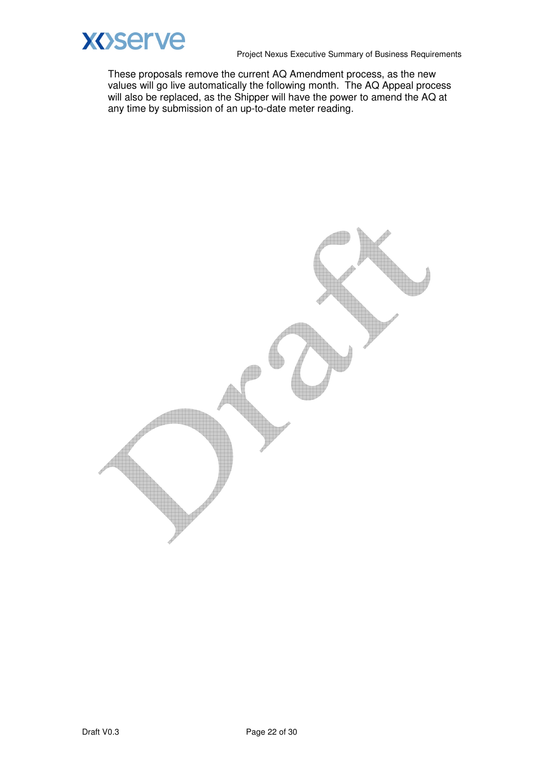

These proposals remove the current AQ Amendment process, as the new values will go live automatically the following month. The AQ Appeal process will also be replaced, as the Shipper will have the power to amend the AQ at any time by submission of an up-to-date meter reading.

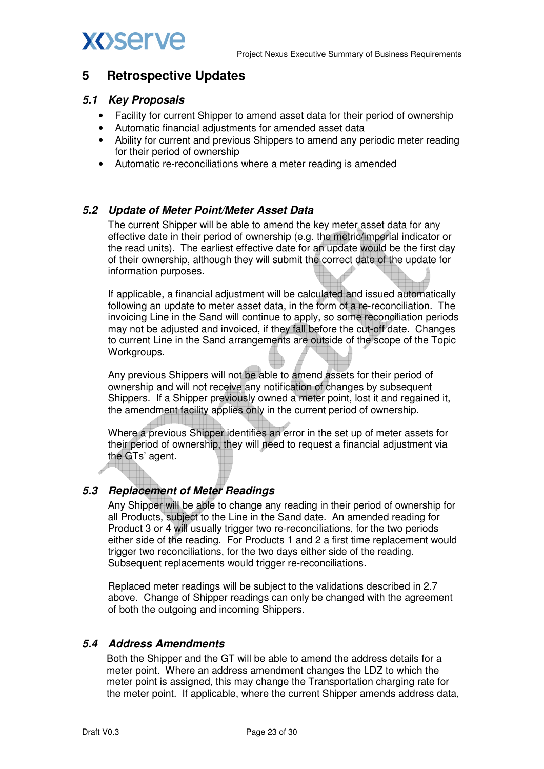

# **XOServe**

### **5 Retrospective Updates**

### **5.1 Key Proposals**

- Facility for current Shipper to amend asset data for their period of ownership
- Automatic financial adjustments for amended asset data
- Ability for current and previous Shippers to amend any periodic meter reading for their period of ownership
- Automatic re-reconciliations where a meter reading is amended

### **5.2 Update of Meter Point/Meter Asset Data**

The current Shipper will be able to amend the key meter asset data for any effective date in their period of ownership (e.g. the metric/imperial indicator or the read units). The earliest effective date for an update would be the first day of their ownership, although they will submit the correct date of the update for information purposes.

If applicable, a financial adjustment will be calculated and issued automatically following an update to meter asset data, in the form of a re-reconciliation. The invoicing Line in the Sand will continue to apply, so some reconciliation periods may not be adjusted and invoiced, if they fall before the cut-off date. Changes to current Line in the Sand arrangements are outside of the scope of the Topic Workgroups.

Any previous Shippers will not be able to amend assets for their period of ownership and will not receive any notification of changes by subsequent Shippers. If a Shipper previously owned a meter point, lost it and regained it, the amendment facility applies only in the current period of ownership.

Where a previous Shipper identifies an error in the set up of meter assets for their period of ownership, they will need to request a financial adjustment via the GTs' agent.

### **5.3 Replacement of Meter Readings**

Any Shipper will be able to change any reading in their period of ownership for all Products, subject to the Line in the Sand date. An amended reading for Product 3 or 4 will usually trigger two re-reconciliations, for the two periods either side of the reading. For Products 1 and 2 a first time replacement would trigger two reconciliations, for the two days either side of the reading. Subsequent replacements would trigger re-reconciliations.

Replaced meter readings will be subject to the validations described in 2.7 above. Change of Shipper readings can only be changed with the agreement of both the outgoing and incoming Shippers.

### **5.4 Address Amendments**

Both the Shipper and the GT will be able to amend the address details for a meter point. Where an address amendment changes the LDZ to which the meter point is assigned, this may change the Transportation charging rate for the meter point. If applicable, where the current Shipper amends address data,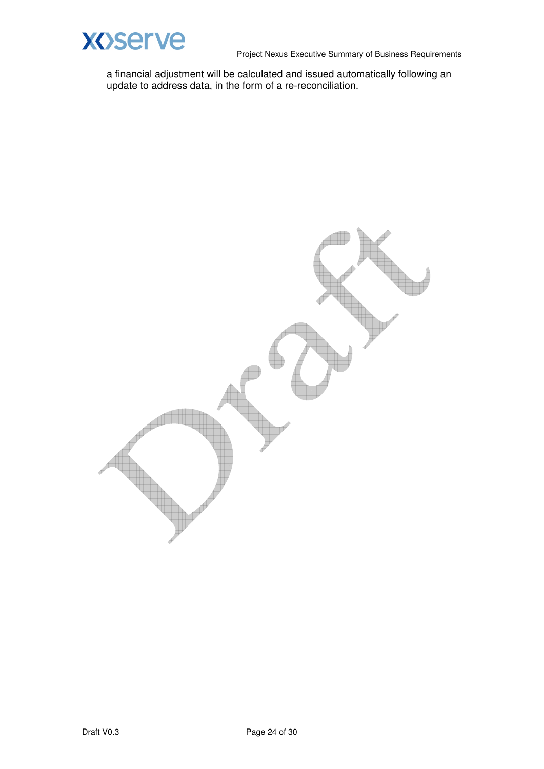

a financial adjustment will be calculated and issued automatically following an update to address data, in the form of a re-reconciliation.

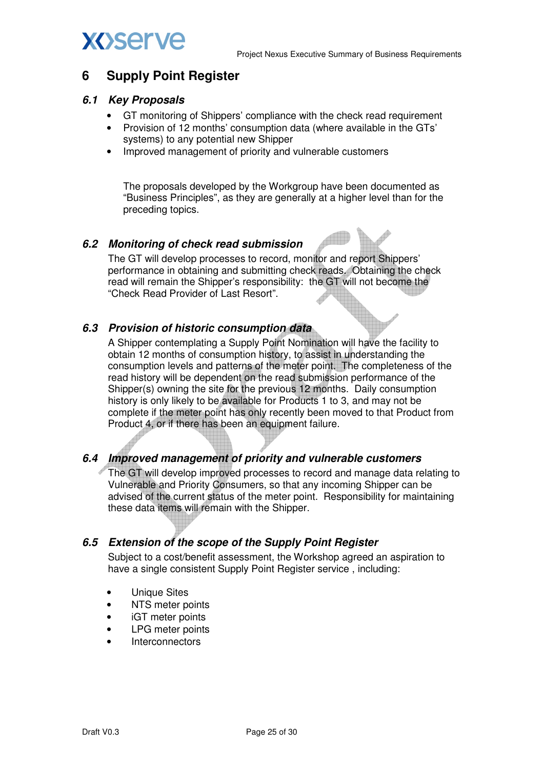

## **XOServe**

### **6 Supply Point Register**

### **6.1 Key Proposals**

- GT monitoring of Shippers' compliance with the check read requirement
- Provision of 12 months' consumption data (where available in the GTs' systems) to any potential new Shipper
- Improved management of priority and vulnerable customers

The proposals developed by the Workgroup have been documented as "Business Principles", as they are generally at a higher level than for the preceding topics.

### **6.2 Monitoring of check read submission**

The GT will develop processes to record, monitor and report Shippers' performance in obtaining and submitting check reads. Obtaining the check read will remain the Shipper's responsibility: the GT will not become the "Check Read Provider of Last Resort".

### **6.3 Provision of historic consumption data**

A Shipper contemplating a Supply Point Nomination will have the facility to obtain 12 months of consumption history, to assist in understanding the consumption levels and patterns of the meter point. The completeness of the read history will be dependent on the read submission performance of the Shipper(s) owning the site for the previous 12 months. Daily consumption history is only likely to be available for Products 1 to 3, and may not be complete if the meter point has only recently been moved to that Product from Product 4, or if there has been an equipment failure.

### **6.4 Improved management of priority and vulnerable customers**

The GT will develop improved processes to record and manage data relating to Vulnerable and Priority Consumers, so that any incoming Shipper can be advised of the current status of the meter point. Responsibility for maintaining these data items will remain with the Shipper.

### **6.5 Extension of the scope of the Supply Point Register**

Subject to a cost/benefit assessment, the Workshop agreed an aspiration to have a single consistent Supply Point Register service , including:

- Unique Sites
- NTS meter points
- iGT meter points
- LPG meter points
- **Interconnectors**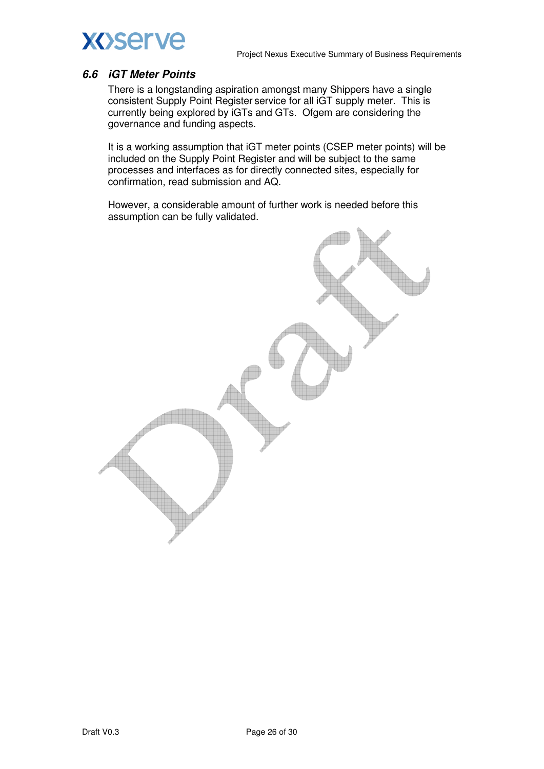

#### **6.6 iGT Meter Points**

There is a longstanding aspiration amongst many Shippers have a single consistent Supply Point Register service for all iGT supply meter. This is currently being explored by iGTs and GTs. Ofgem are considering the governance and funding aspects.

It is a working assumption that iGT meter points (CSEP meter points) will be included on the Supply Point Register and will be subject to the same processes and interfaces as for directly connected sites, especially for confirmation, read submission and AQ.

However, a considerable amount of further work is needed before this assumption can be fully validated.

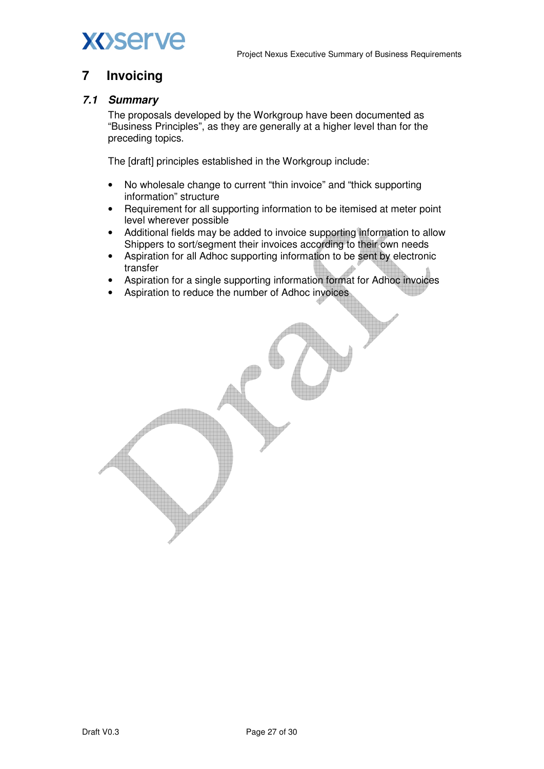



### **7 Invoicing**

### **7.1 Summary**

The proposals developed by the Workgroup have been documented as "Business Principles", as they are generally at a higher level than for the preceding topics.

The [draft] principles established in the Workgroup include:

- No wholesale change to current "thin invoice" and "thick supporting information" structure
- Requirement for all supporting information to be itemised at meter point level wherever possible
- Additional fields may be added to invoice supporting information to allow Shippers to sort/segment their invoices according to their own needs
- Aspiration for all Adhoc supporting information to be sent by electronic transfer
- Aspiration for a single supporting information format for Adhoc invoices
- Aspiration to reduce the number of Adhoc invoices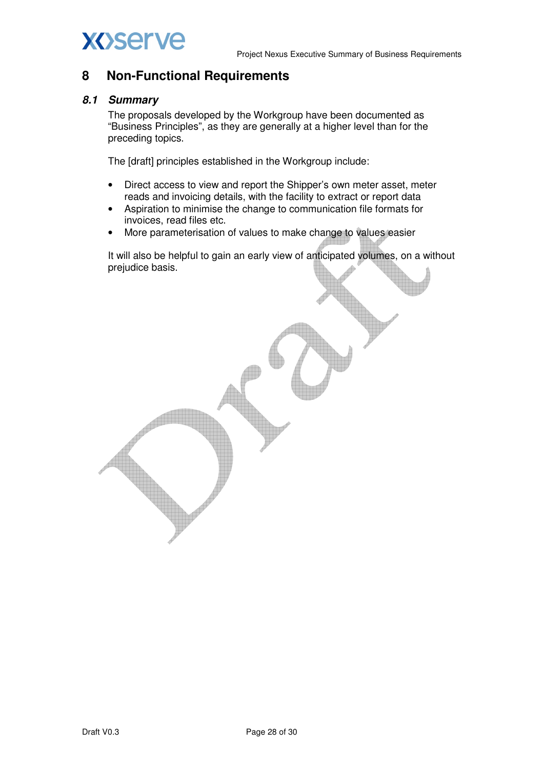

# **XOServe**

### **8 Non-Functional Requirements**

### **8.1 Summary**

The proposals developed by the Workgroup have been documented as "Business Principles", as they are generally at a higher level than for the preceding topics.

The [draft] principles established in the Workgroup include:

- Direct access to view and report the Shipper's own meter asset, meter reads and invoicing details, with the facility to extract or report data
- Aspiration to minimise the change to communication file formats for invoices, read files etc.
- More parameterisation of values to make change to values easier

It will also be helpful to gain an early view of anticipated volumes, on a without prejudice basis.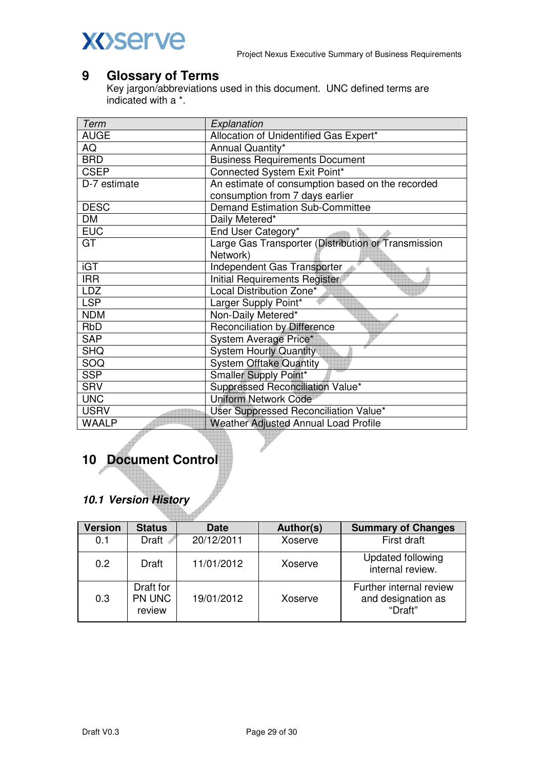## **XOServe**

## **9 Glossary of Terms**

Key jargon/abbreviations used in this document. UNC defined terms are indicated with a \*.

| Term         | Explanation                                         |
|--------------|-----------------------------------------------------|
| <b>AUGE</b>  | Allocation of Unidentified Gas Expert*              |
| AQ           | Annual Quantity*                                    |
| <b>BRD</b>   | <b>Business Requirements Document</b>               |
| <b>CSEP</b>  | Connected System Exit Point*                        |
| D-7 estimate | An estimate of consumption based on the recorded    |
|              | consumption from 7 days earlier                     |
| <b>DESC</b>  | <b>Demand Estimation Sub-Committee</b>              |
| DM           | Daily Metered*                                      |
| <b>EUC</b>   | End User Category*                                  |
| GT           | Large Gas Transporter (Distribution or Transmission |
|              | Network)                                            |
| <b>iGT</b>   | Independent Gas Transporter                         |
| <b>IRR</b>   | Initial Requirements Register                       |
| <b>LDZ</b>   | Local Distribution Zone*                            |
| <b>LSP</b>   | Larger Supply Point*                                |
| <b>NDM</b>   | Non-Daily Metered*                                  |
| <b>RbD</b>   | <b>Reconciliation by Difference</b>                 |
| <b>SAP</b>   | System Average Price*                               |
| <b>SHQ</b>   | <b>System Hourly Quantity</b>                       |
| SOQ          | <b>System Offtake Quantity</b>                      |
| <b>SSP</b>   | Smaller Supply Point*                               |
| <b>SRV</b>   | Suppressed Reconciliation Value*                    |
| <b>UNC</b>   | <b>Uniform Network Code</b>                         |
| <b>USRV</b>  | User Suppressed Reconciliation Value*               |
| <b>WAALP</b> | Weather Adjusted Annual Load Profile                |

## **10 Document Control**

### **10.1 Version History**

| Version | <b>Status</b>                 | <b>Date</b> | Author(s) | <b>Summary of Changes</b>                                |
|---------|-------------------------------|-------------|-----------|----------------------------------------------------------|
| 0.1     | Draft 4                       | 20/12/2011  | Xoserve   | First draft                                              |
| 0.2     | <b>Draft</b>                  | 11/01/2012  | Xoserve   | Updated following<br>internal review.                    |
| 0.3     | Draft for<br>PN UNC<br>review | 19/01/2012  | Xoserve   | Further internal review<br>and designation as<br>"Draft" |